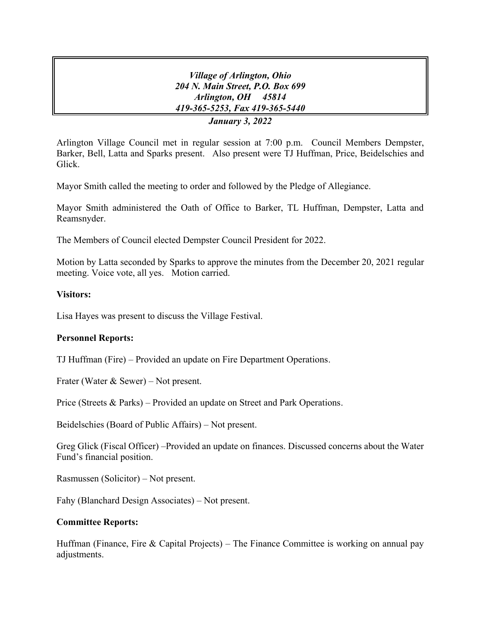*Village of Arlington, Ohio 204 N. Main Street, P.O. Box 699 Arlington, OH 45814 419-365-5253, Fax 419-365-5440 January 3, 2022*

Arlington Village Council met in regular session at 7:00 p.m. Council Members Dempster, Barker, Bell, Latta and Sparks present. Also present were TJ Huffman, Price, Beidelschies and Glick.

Mayor Smith called the meeting to order and followed by the Pledge of Allegiance.

Mayor Smith administered the Oath of Office to Barker, TL Huffman, Dempster, Latta and Reamsnyder.

The Members of Council elected Dempster Council President for 2022.

Motion by Latta seconded by Sparks to approve the minutes from the December 20, 2021 regular meeting. Voice vote, all yes. Motion carried.

## **Visitors:**

Lisa Hayes was present to discuss the Village Festival.

# **Personnel Reports:**

TJ Huffman (Fire) – Provided an update on Fire Department Operations.

Frater (Water & Sewer) – Not present.

Price (Streets & Parks) – Provided an update on Street and Park Operations.

Beidelschies (Board of Public Affairs) – Not present.

Greg Glick (Fiscal Officer) –Provided an update on finances. Discussed concerns about the Water Fund's financial position.

Rasmussen (Solicitor) – Not present.

Fahy (Blanchard Design Associates) – Not present.

# **Committee Reports:**

Huffman (Finance, Fire & Capital Projects) – The Finance Committee is working on annual pay adjustments.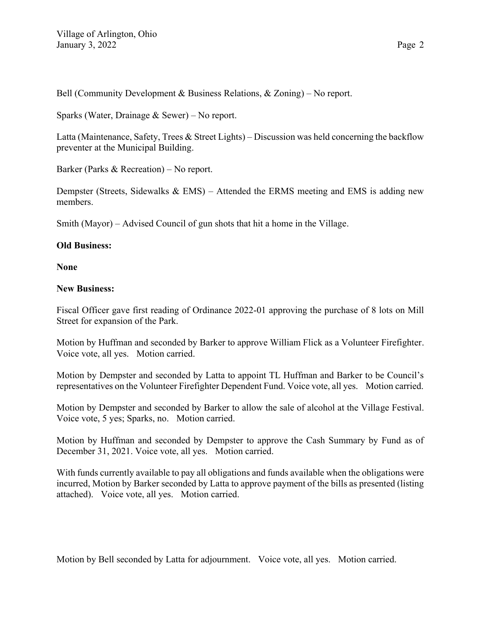Bell (Community Development & Business Relations, & Zoning) – No report.

Sparks (Water, Drainage & Sewer) – No report.

Latta (Maintenance, Safety, Trees & Street Lights) – Discussion was held concerning the backflow preventer at the Municipal Building.

Barker (Parks & Recreation) – No report.

Dempster (Streets, Sidewalks & EMS) – Attended the ERMS meeting and EMS is adding new members.

Smith (Mayor) – Advised Council of gun shots that hit a home in the Village.

# **Old Business:**

**None**

# **New Business:**

Fiscal Officer gave first reading of Ordinance 2022-01 approving the purchase of 8 lots on Mill Street for expansion of the Park.

Motion by Huffman and seconded by Barker to approve William Flick as a Volunteer Firefighter. Voice vote, all yes. Motion carried.

Motion by Dempster and seconded by Latta to appoint TL Huffman and Barker to be Council's representatives on the Volunteer Firefighter Dependent Fund. Voice vote, all yes. Motion carried.

Motion by Dempster and seconded by Barker to allow the sale of alcohol at the Village Festival. Voice vote, 5 yes; Sparks, no. Motion carried.

Motion by Huffman and seconded by Dempster to approve the Cash Summary by Fund as of December 31, 2021. Voice vote, all yes. Motion carried.

With funds currently available to pay all obligations and funds available when the obligations were incurred, Motion by Barker seconded by Latta to approve payment of the bills as presented (listing attached). Voice vote, all yes. Motion carried.

Motion by Bell seconded by Latta for adjournment. Voice vote, all yes. Motion carried.